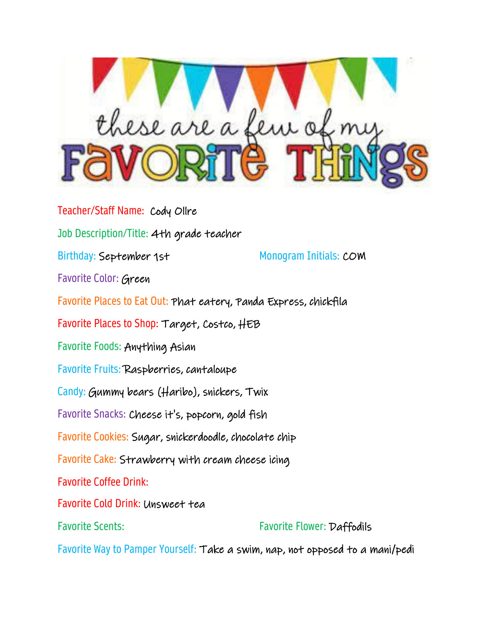

Teacher/Staff Name: Cody Ollre Job Description/Title: 4th grade teacher Birthday: September 1st Monogram Initials: COM Favorite Color: Green Favorite Places to Eat Out: Phat eatery, Panda Express, chickfila Favorite Places to Shop: Target, Costco, HEB Favorite Foods: Anything Asian Favorite Fruits: Raspberries, cantaloupe Candy: Gummy bears (Haribo), snickers, Twix Favorite Snacks: Cheese it's, popcorn, gold fish Favorite Cookies: Sugar, snickerdoodle, chocolate chip Favorite Cake: Strawberry with cream cheese icing Favorite Coffee Drink: Favorite Cold Drink: Unsweet tea Favorite Scents: Favorite Flower: Daffodils

Favorite Way to Pamper Yourself: Take a swim, nap, not opposed to a mani/pedi